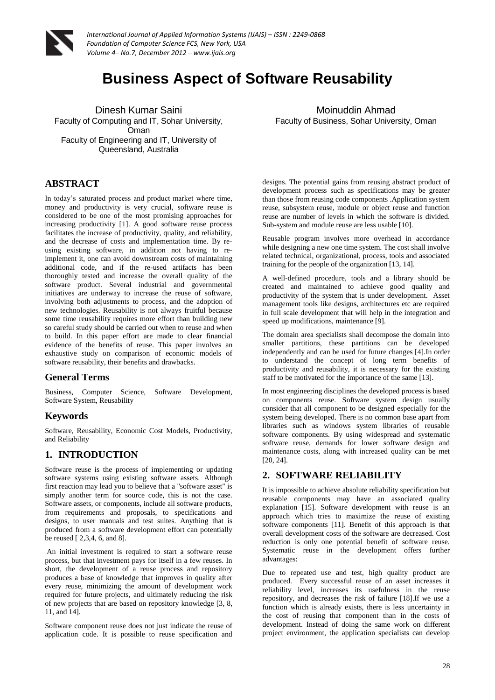

# **Business Aspect of Software Reusability**

Dinesh Kumar Saini Faculty of Computing and IT, Sohar University, Oman Faculty of Engineering and IT, University of Queensland, Australia

### **ABSTRACT**

In today's saturated process and product market where time, money and productivity is very crucial, software reuse is considered to be one of the most promising approaches for increasing productivity [1]. A good software reuse process facilitates the increase of productivity, quality, and reliability, and the decrease of costs and implementation time. By reusing existing software, in addition not having to reimplement it, one can avoid downstream costs of maintaining additional code, and if the re-used artifacts has been thoroughly tested and increase the overall quality of the software product. Several industrial and governmental initiatives are underway to increase the reuse of software, involving both adjustments to process, and the adoption of new technologies. Reusability is not always fruitful because some time reusability requires more effort than building new so careful study should be carried out when to reuse and when to build. In this paper effort are made to clear financial evidence of the benefits of reuse. This paper involves an exhaustive study on comparison of economic models of software reusability, their benefits and drawbacks.

#### **General Terms**

Business, Computer Science, Software Development, Software System, Reusability

### **Keywords**

Software, Reusability, Economic Cost Models, Productivity, and Reliability

## **1. INTRODUCTION**

Software reuse is the process of implementing or updating software systems using existing software assets. Although first reaction may lead you to believe that a "software asset" is simply another term for source code, this is not the case. Software assets, or components, include all software products, from requirements and proposals, to specifications and designs, to user manuals and test suites. Anything that is produced from a software development effort can potentially be reused [ 2,3,4, 6, and 8].

An initial investment is required to start a software reuse process, but that investment pays for itself in a few reuses. In short, the development of a reuse process and repository produces a base of knowledge that improves in quality after every reuse, minimizing the amount of development work required for future projects, and ultimately reducing the risk of new projects that are based on repository knowledge [3, 8, 11, and 14].

Software component reuse does not just indicate the reuse of application code. It is possible to reuse specification and

Moinuddin Ahmad Faculty of Business, Sohar University, Oman

designs. The potential gains from reusing abstract product of development process such as specifications may be greater than those from reusing code components .Application system reuse, subsystem reuse, module or object reuse and function reuse are number of levels in which the software is divided. Sub-system and module reuse are less usable [10].

Reusable program involves more overhead in accordance while designing a new one time system. The cost shall involve related technical, organizational, process, tools and associated training for the people of the organization [13, 14].

A well-defined procedure, tools and a library should be created and maintained to achieve good quality and productivity of the system that is under development. Asset management tools like designs, architectures etc are required in full scale development that will help in the integration and speed up modifications, maintenance [9].

The domain area specialists shall decompose the domain into smaller partitions, these partitions can be developed independently and can be used for future changes [4].In order to understand the concept of long term benefits of productivity and reusability, it is necessary for the existing staff to be motivated for the importance of the same [13].

In most engineering disciplines the developed process is based on components reuse. Software system design usually consider that all component to be designed especially for the system being developed. There is no common base apart from libraries such as windows system libraries of reusable software components. By using widespread and systematic software reuse, demands for lower software design and maintenance costs, along with increased quality can be met [20, 24].

## **2. SOFTWARE RELIABILITY**

It is impossible to achieve absolute reliability specification but reusable components may have an associated quality explanation [15]. Software development with reuse is an approach which tries to maximize the reuse of existing software components [11]. Benefit of this approach is that overall development costs of the software are decreased. Cost reduction is only one potential benefit of software reuse. Systematic reuse in the development offers further advantages:

Due to repeated use and test, high quality product are produced. Every successful reuse of an asset increases it reliability level, increases its usefulness in the reuse repository, and decreases the risk of failure [18].If we use a function which is already exists, there is less uncertainty in the cost of reusing that component than in the costs of development. Instead of doing the same work on different project environment, the application specialists can develop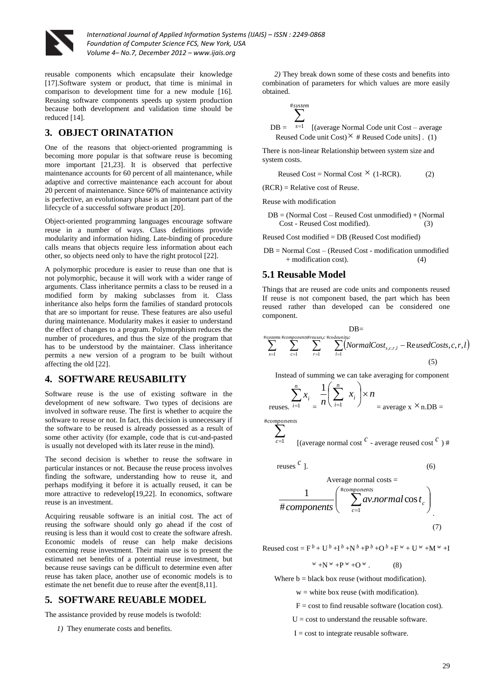

reusable components which encapsulate their knowledge [17].Software system or product, that time is minimal in comparison to development time for a new module [16]. Reusing software components speeds up system production because both development and validation time should be reduced [14].

## **3. OBJECT ORINATATION**

One of the reasons that object-oriented programming is becoming more popular is that software reuse is becoming more important [21,23]. It is observed that perfective maintenance accounts for 60 percent of all maintenance, while adaptive and corrective maintenance each account for about 20 percent of maintenance. Since 60% of maintenance activity is perfective, an evolutionary phase is an important part of the lifecycle of a successful software product [20].

Object-oriented programming languages encourage software reuse in a number of ways. Class definitions provide modularity and information hiding. Late-binding of procedure calls means that objects require less information about each other, so objects need only to have the right protocol [22].

A polymorphic procedure is easier to reuse than one that is not polymorphic, because it will work with a wider range of arguments. Class inheritance permits a class to be reused in a modified form by making subclasses from it. Class inheritance also helps form the families of standard protocols that are so important for reuse. These features are also useful during maintenance. Modularity makes it easier to understand the effect of changes to a program. Polymorphism reduces the number of procedures, and thus the size of the program that has to be understood by the maintainer. Class inheritance permits a new version of a program to be built without affecting the old [22].

### **4. SOFTWARE REUSABILITY**

Software reuse is the use of existing software in the development of new software. Two types of decisions are involved in software reuse. The first is whether to acquire the software to reuse or not. In fact, this decision is unnecessary if the software to be reused is already possessed as a result of some other activity (for example, code that is cut-and-pasted is usually not developed with its later reuse in the mind).

The second decision is whether to reuse the software in particular instances or not. Because the reuse process involves finding the software, understanding how to reuse it, and perhaps modifying it before it is actually reused, it can be more attractive to redevelop[19,22]. In economics, software reuse is an investment.

Acquiring reusable software is an initial cost. The act of reusing the software should only go ahead if the cost of reusing is less than it would cost to create the software afresh. Economic models of reuse can help make decisions concerning reuse investment. Their main use is to present the estimated net benefits of a potential reuse investment, but because reuse savings can be difficult to determine even after reuse has taken place, another use of economic models is to estimate the net benefit due to reuse after the event[8,11].

### **5. SOFTWARE REUABLE MODEL**

The assistance provided by reuse models is twofold:

*1)* They enumerate costs and benefits.

*2)* They break down some of these costs and benefits into combination of parameters for which values are more easily obtained.

$$
DB = \sum_{s=1}^{\#system} [(\text{average Normal Code unit Cost} - \text{average }\text{Reused Code unit Cost})^{\times} \# \text{Reused Code units}] \tag{1}
$$

There is non-linear Relationship between system size and system costs.

Reused Cost = Normal Cost  $\times$  (1-RCR). (2)

 $(RCR)$  = Relative cost of Reuse.

Reuse with modification

 $DB = (Normal Cost - Reused Cost unmodified) + (Normal)$ Cost - Reused Cost modified). (3)

Reused Cost modified = DB (Reused Cost modified)

DB = Normal Cost – (Reused Cost - modification unmodified + modification cost). (4)

#### **5.1 Reusable Model**

Things that are reused are code units and components reused If reuse is not component based, the part which has been reused rather than developed can be considered one component.

$$
\sum_{s=1}^{\#systems\#components\#reuses, c\#codemitzc}_{s=1} \sum_{r=1}^{\# systems\#components\#reuses, c\#codemitzc}_{l=1} (NormalCost_{s,c,r,l} - ReusedCosts, c, r, l)
$$

Instead of summing we can take averaging for component

$$
\sum_{\text{reuses.}}^n \sum_{i=1}^n x_i = \frac{1}{n} \left( \sum_{i=1}^n x_i \right) \times n = \text{average x } \times \text{n.DB} =
$$

*components* #

$$
\sum_{c=1}^{C} \qquad \text{[(average normal cost }^{C} - \text{average reused cost }^{C}) \#
$$

reuses 
$$
c
$$

$$
]. \t(6)
$$

Average normal costs =  
\n
$$
\frac{1}{\text{\#components}} \left( \sum_{c=1}^{\text{\#components}} av-normal \cos t_c \right)
$$
\n(7)

Reused cost =  $F^b$  + U<sup>b</sup> + I<sup>b</sup> + N<sup>b</sup> + P<sup>b</sup> + O<sup>b</sup> + F<sup>w</sup> + U<sup>w</sup> + M<sup>w</sup> + I

 $^{w}$  +N<sup> $^{w}$ </sup> +P<sup> $^{w}$ </sup> +O<sup> $^{w}$ </sup> . (8)

Where  $b = black box$  reuse (without modification).

 $w =$  white box reuse (with modification).

 $F = \text{cost}$  to find reusable software (location cost).

 $U = \text{cost}$  to understand the reusable software.

 $I = \text{cost}$  to integrate reusable software.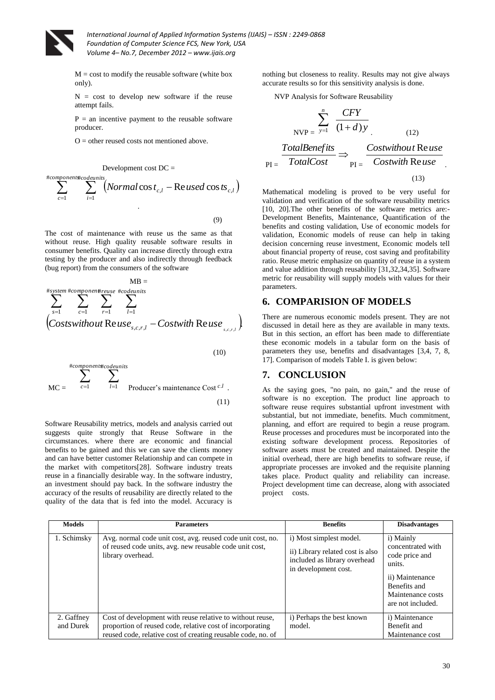

 $M = \text{cost}$  to modify the reusable software (white box only).

 $N = \text{cost}$  to develop new software if the reuse attempt fails.

 $P =$  an incentive payment to the reusable software producer.

 $O$  = other reused costs not mentioned above.

$$
\sum_{c=1}^{\text{Hcomponent} \text{ft} co} \sum_{i=1}^{\text{Hcomponent} \text{ft} co} \sum_{i=1}^{\text{H}} \left( \text{Normal} \cos t_{c,l} - \text{Re} \text{ used } \cos t s_{c,l} \right)
$$
\n
$$
(9)
$$

The cost of maintenance with reuse us the same as that without reuse. High quality reusable software results in consumer benefits. Quality can increase directly through extra testing by the producer and also indirectly through feedback (bug report) from the consumers of the software

$$
MB =\n\sum_{s=1}^{n} \sum_{c=1}^{n} \sum_{r=1}^{n} \sum_{r=1}^{n} \sum_{l=1}^{n} \sum_{l=1}^{n} (costswithoutReuse_{s,c,r,l} - CostwithReuse_{s,c,r,l})
$$

(10)

$$
MC = \sum_{c=1}^{\#components} \sum_{l=1}^{\#components} \text{Product's maintenance Cost }^{c.l} .
$$
 (11)

Software Reusability metrics, models and analysis carried out suggests quite strongly that Reuse Software in the circumstances. where there are economic and financial benefits to be gained and this we can save the clients money and can have better customer Relationship and can compete in the market with competitors[28]. Software industry treats reuse in a financially desirable way. In the software industry, an investment should pay back. In the software industry the accuracy of the results of reusability are directly related to the quality of the data that is fed into the model. Accuracy is

nothing but closeness to reality. Results may not give always accurate results so for this sensitivity analysis is done.

NVP Analysis for Software Reusability

$$
NVP = \sum_{y=1}^{n} \frac{CFY}{(1+d)y}
$$
(12)  

$$
PI = \frac{TotalBenefits}{TotalCost} \Rightarrow PI = \frac{Costwithout Reuse}{Costwith Reuse}
$$
(13)

Mathematical modeling is proved to be very useful for validation and verification of the software reusability metrics [10, 20]. The other benefits of the software metrics are:-Development Benefits, Maintenance, Quantification of the benefits and costing validation, Use of economic models for validation, Economic models of reuse can help in taking decision concerning reuse investment, Economic models tell about financial property of reuse, cost saving and profitability ratio. Reuse metric emphasize on quantity of reuse in a system and value addition through reusability [31,32,34,35]. Software metric for reusability will supply models with values for their parameters.

#### **6. COMPARISION OF MODELS**

There are numerous economic models present. They are not discussed in detail here as they are available in many texts. But in this section, an effort has been made to differentiate these economic models in a tabular form on the basis of parameters they use, benefits and disadvantages [3,4, 7, 8, 17]. Comparison of models Table I. is given below:

### **7. CONCLUSION**

As the saying goes, "no pain, no gain," and the reuse of software is no exception. The product line approach to software reuse requires substantial upfront investment with substantial, but not immediate, benefits. Much commitment, planning, and effort are required to begin a reuse program. Reuse processes and procedures must be incorporated into the existing software development process. Repositories of software assets must be created and maintained. Despite the initial overhead, there are high benefits to software reuse, if appropriate processes are invoked and the requisite planning takes place. Product quality and reliability can increase. Project development time can decrease, along with associated project costs.

| <b>Models</b>           | <b>Parameters</b>                                                                                                                                                                      | <b>Benefits</b>                                                                                                     | <b>Disadvantages</b>                                                                                                                    |
|-------------------------|----------------------------------------------------------------------------------------------------------------------------------------------------------------------------------------|---------------------------------------------------------------------------------------------------------------------|-----------------------------------------------------------------------------------------------------------------------------------------|
| 1. Schimsky             | Avg. normal code unit cost, avg. reused code unit cost, no.<br>of reused code units, avg. new reusable code unit cost,<br>library overhead.                                            | i) Most simplest model.<br>ii) Library related cost is also<br>included as library overhead<br>in development cost. | i) Mainly<br>concentrated with<br>code price and<br>units.<br>ii) Maintenance<br>Benefits and<br>Maintenance costs<br>are not included. |
| 2. Gaffney<br>and Durek | Cost of development with reuse relative to without reuse,<br>proportion of reused code, relative cost of incorporating<br>reused code, relative cost of creating reusable code, no. of | i) Perhaps the best known<br>model.                                                                                 | i) Maintenance<br>Benefit and<br>Maintenance cost                                                                                       |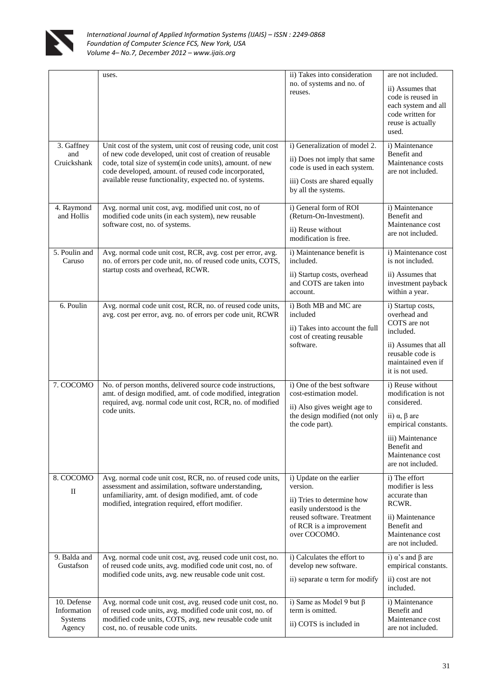

|                                                 | uses.                                                                                                                                                                                                                                                                                                     | ii) Takes into consideration<br>no. of systems and no. of<br>reuses.                                                                                                    | are not included.<br>ii) Assumes that<br>code is reused in<br>each system and all<br>code written for<br>reuse is actually<br>used.                                                      |
|-------------------------------------------------|-----------------------------------------------------------------------------------------------------------------------------------------------------------------------------------------------------------------------------------------------------------------------------------------------------------|-------------------------------------------------------------------------------------------------------------------------------------------------------------------------|------------------------------------------------------------------------------------------------------------------------------------------------------------------------------------------|
| 3. Gaffney<br>and<br>Cruickshank                | Unit cost of the system, unit cost of reusing code, unit cost<br>of new code developed, unit cost of creation of reusable<br>code, total size of system(in code units), amount. of new<br>code developed, amount. of reused code incorporated,<br>available reuse functionality, expected no. of systems. | i) Generalization of model 2.<br>ii) Does not imply that same<br>code is used in each system.<br>iii) Costs are shared equally<br>by all the systems.                   | i) Maintenance<br>Benefit and<br>Maintenance costs<br>are not included.                                                                                                                  |
| 4. Raymond<br>and Hollis                        | Avg. normal unit cost, avg. modified unit cost, no of<br>modified code units (in each system), new reusable<br>software cost, no. of systems.                                                                                                                                                             | i) General form of ROI<br>(Return-On-Investment).<br>ii) Reuse without<br>modification is free.                                                                         | i) Maintenance<br>Benefit and<br>Maintenance cost<br>are not included.                                                                                                                   |
| 5. Poulin and<br>Caruso                         | Avg. normal code unit cost, RCR, avg. cost per error, avg.<br>no. of errors per code unit, no. of reused code units, COTS,<br>startup costs and overhead, RCWR.                                                                                                                                           | i) Maintenance benefit is<br>included.<br>ii) Startup costs, overhead<br>and COTS are taken into<br>account.                                                            | i) Maintenance cost<br>is not included.<br>ii) Assumes that<br>investment payback<br>within a year.                                                                                      |
| 6. Poulin                                       | Avg. normal code unit cost, RCR, no. of reused code units,<br>avg. cost per error, avg. no. of errors per code unit, RCWR                                                                                                                                                                                 | i) Both MB and MC are<br>included<br>ii) Takes into account the full<br>cost of creating reusable<br>software.                                                          | i) Startup costs,<br>overhead and<br>COTS are not<br>included.<br>ii) Assumes that all<br>reusable code is<br>maintained even if<br>it is not used.                                      |
| 7. COCOMO                                       | No. of person months, delivered source code instructions,<br>amt. of design modified, amt. of code modified, integration<br>required, avg. normal code unit cost, RCR, no. of modified<br>code units.                                                                                                     | i) One of the best software<br>cost-estimation model.<br>ii) Also gives weight age to<br>the design modified (not only<br>the code part).                               | i) Reuse without<br>modification is not<br>considered.<br>ii) $\alpha$ , $\beta$ are<br>empirical constants.<br>iii) Maintenance<br>Benefit and<br>Maintenance cost<br>are not included. |
| 8. COCOMO<br>$_{\rm II}$                        | Avg. normal code unit cost, RCR, no. of reused code units,<br>assessment and assimilation, software understanding,<br>unfamiliarity, amt. of design modified, amt. of code<br>modified, integration required, effort modifier.                                                                            | i) Update on the earlier<br>version.<br>ii) Tries to determine how<br>easily understood is the<br>reused software. Treatment<br>of RCR is a improvement<br>over COCOMO. | i) The effort<br>modifier is less<br>accurate than<br>RCWR.<br>ii) Maintenance<br>Benefit and<br>Maintenance cost<br>are not included.                                                   |
| 9. Balda and<br>Gustafson                       | Avg. normal code unit cost, avg. reused code unit cost, no.<br>of reused code units, avg. modified code unit cost, no. of<br>modified code units, avg. new reusable code unit cost.                                                                                                                       | i) Calculates the effort to<br>develop new software.<br>ii) separate $\alpha$ term for modify                                                                           | i) $\alpha$ 's and $\beta$ are<br>empirical constants.<br>ii) cost are not<br>included.                                                                                                  |
| 10. Defense<br>Information<br>Systems<br>Agency | Avg. normal code unit cost, avg. reused code unit cost, no.<br>of reused code units, avg. modified code unit cost, no. of<br>modified code units, COTS, avg. new reusable code unit<br>cost, no. of reusable code units.                                                                                  | i) Same as Model 9 but $\beta$<br>term is omitted.<br>ii) COTS is included in                                                                                           | i) Maintenance<br>Benefit and<br>Maintenance cost<br>are not included.                                                                                                                   |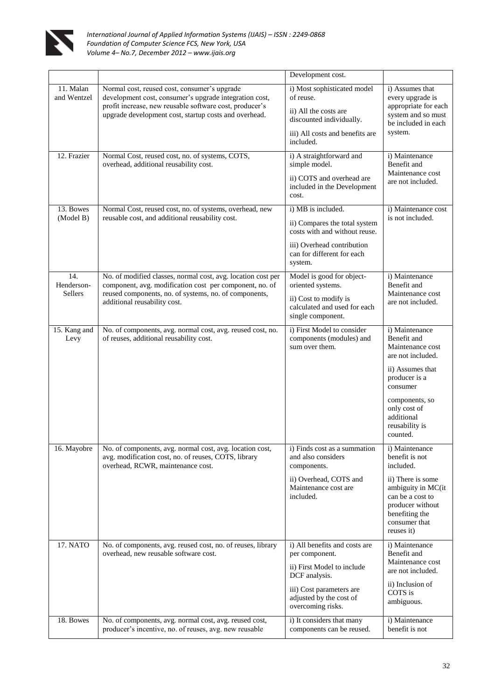

|                              |                                                                                                                                                                                                                            | Development cost.                                                                                                                                                          |                                                                                                                                                                                                       |
|------------------------------|----------------------------------------------------------------------------------------------------------------------------------------------------------------------------------------------------------------------------|----------------------------------------------------------------------------------------------------------------------------------------------------------------------------|-------------------------------------------------------------------------------------------------------------------------------------------------------------------------------------------------------|
| 11. Malan<br>and Wentzel     | Normal cost, reused cost, consumer's upgrade<br>development cost, consumer's upgrade integration cost,<br>profit increase, new reusable software cost, producer's<br>upgrade development cost, startup costs and overhead. | i) Most sophisticated model<br>of reuse.<br>ii) All the costs are<br>discounted individually.<br>iii) All costs and benefits are<br>included.                              | i) Assumes that<br>every upgrade is<br>appropriate for each<br>system and so must<br>be included in each<br>system.                                                                                   |
| 12. Frazier                  | Normal Cost, reused cost, no. of systems, COTS,<br>overhead, additional reusability cost.                                                                                                                                  | i) A straightforward and<br>simple model.<br>ii) COTS and overhead are<br>included in the Development<br>cost.                                                             | i) Maintenance<br>Benefit and<br>Maintenance cost<br>are not included.                                                                                                                                |
| 13. Bowes<br>(Model B)       | Normal Cost, reused cost, no. of systems, overhead, new<br>reusable cost, and additional reusability cost.                                                                                                                 | i) MB is included.<br>ii) Compares the total system<br>costs with and without reuse.<br>iii) Overhead contribution<br>can for different for each<br>system.                | i) Maintenance cost<br>is not included.                                                                                                                                                               |
| 14.<br>Henderson-<br>Sellers | No. of modified classes, normal cost, avg. location cost per<br>component, avg. modification cost per component, no. of<br>reused components, no. of systems, no. of components,<br>additional reusability cost.           | Model is good for object-<br>oriented systems.<br>ii) Cost to modify is<br>calculated and used for each<br>single component.                                               | i) Maintenance<br>Benefit and<br>Maintenance cost<br>are not included.                                                                                                                                |
| 15. Kang and<br>Levy         | No. of components, avg. normal cost, avg. reused cost, no.<br>of reuses, additional reusability cost.                                                                                                                      | i) First Model to consider<br>components (modules) and<br>sum over them.                                                                                                   | i) Maintenance<br>Benefit and<br>Maintenance cost<br>are not included.<br>ii) Assumes that<br>producer is a<br>consumer<br>components, so<br>only cost of<br>additional<br>reusability is<br>counted. |
| 16. Mayobre                  | No. of components, avg. normal cost, avg. location cost,<br>avg. modification cost, no. of reuses, COTS, library<br>overhead, RCWR, maintenance cost.                                                                      | i) Finds cost as a summation<br>and also considers<br>components.<br>ii) Overhead, COTS and<br>Maintenance cost are<br>included.                                           | i) Maintenance<br>benefit is not<br>included.<br>ii) There is some<br>ambiguity in MC(it<br>can be a cost to<br>producer without<br>benefiting the<br>consumer that<br>reuses it)                     |
| 17. NATO                     | No. of components, avg. reused cost, no. of reuses, library<br>overhead, new reusable software cost.                                                                                                                       | i) All benefits and costs are<br>per component.<br>ii) First Model to include<br>DCF analysis.<br>iii) Cost parameters are<br>adjusted by the cost of<br>overcoming risks. | i) Maintenance<br>Benefit and<br>Maintenance cost<br>are not included.<br>ii) Inclusion of<br>COTS is<br>ambiguous.                                                                                   |
| 18. Bowes                    | No. of components, avg. normal cost, avg. reused cost,<br>producer's incentive, no. of reuses, avg. new reusable                                                                                                           | i) It considers that many<br>components can be reused.                                                                                                                     | i) Maintenance<br>benefit is not                                                                                                                                                                      |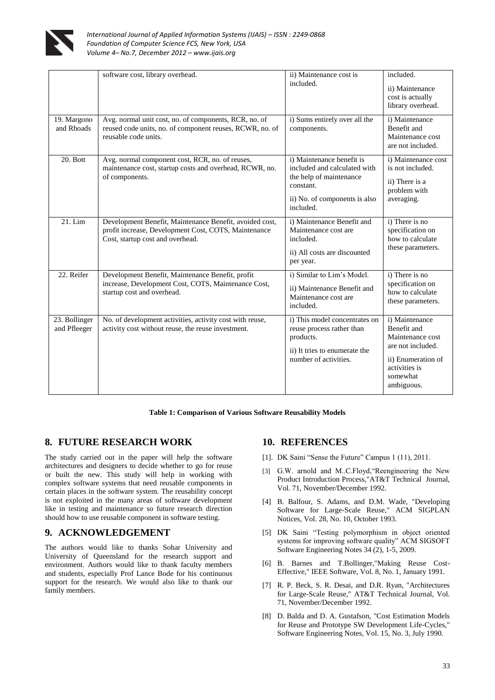

|                               | software cost, library overhead.                                                                                                                    | ii) Maintenance cost is<br>included.                                                                                                            | included.<br>ii) Maintenance<br>cost is actually<br>library overhead.                                                                   |
|-------------------------------|-----------------------------------------------------------------------------------------------------------------------------------------------------|-------------------------------------------------------------------------------------------------------------------------------------------------|-----------------------------------------------------------------------------------------------------------------------------------------|
| 19. Margono<br>and Rhoads     | Avg. normal unit cost, no. of components, RCR, no. of<br>reused code units, no. of component reuses, RCWR, no. of<br>reusable code units.           | i) Sums entirely over all the<br>components.                                                                                                    | i) Maintenance<br>Benefit and<br>Maintenance cost<br>are not included.                                                                  |
| 20. Bott                      | Avg. normal component cost, RCR, no. of reuses,<br>maintenance cost, startup costs and overhead, RCWR, no.<br>of components.                        | i) Maintenance benefit is<br>included and calculated with<br>the help of maintenance<br>constant.<br>ii) No. of components is also<br>included. | i) Maintenance cost<br>is not included.<br>ii) There is a<br>problem with<br>averaging.                                                 |
| 21. Lim                       | Development Benefit, Maintenance Benefit, avoided cost,<br>profit increase, Development Cost, COTS, Maintenance<br>Cost, startup cost and overhead. | i) Maintenance Benefit and<br>Maintenance cost are<br>included.<br>ii) All costs are discounted<br>per year.                                    | i) There is no<br>specification on<br>how to calculate<br>these parameters.                                                             |
| 22. Reifer                    | Development Benefit, Maintenance Benefit, profit<br>increase, Development Cost, COTS, Maintenance Cost,<br>startup cost and overhead.               | i) Similar to Lim's Model.<br>ii) Maintenance Benefit and<br>Maintenance cost are<br>included.                                                  | i) There is no<br>specification on<br>how to calculate<br>these parameters.                                                             |
| 23. Bollinger<br>and Pfleeger | No. of development activities, activity cost with reuse,<br>activity cost without reuse, the reuse investment.                                      | i) This model concentrates on<br>reuse process rather than<br>products.<br>ii) It tries to enumerate the<br>number of activities.               | i) Maintenance<br>Benefit and<br>Maintenance cost<br>are not included.<br>ii) Enumeration of<br>activities is<br>somewhat<br>ambiguous. |

**Table 1: Comparison of Various Software Reusability Models**

## **8. FUTURE RESEARCH WORK**

The study carried out in the paper will help the software architectures and designers to decide whether to go for reuse or built the new. This study will help in working with complex software systems that need reusable components in certain places in the software system. The reusability concept is not exploited in the many areas of software development like in testing and maintenance so future research direction should how to use reusable component in software testing.

### **9. ACKNOWLEDGEMENT**

The authors would like to thanks Sohar University and University of Queensland for the research support and environment. Authors would like to thank faculty members and students, especially Prof Lance Bode for his continuous support for the research. We would also like to thank our family members.

# **10. REFERENCES**

- [1]. DK Saini "Sense the Future" Campus 1 (11), 2011.
- [3] G.W. arnold and M..C.Floyd,"Reengineering the New Product Introduction Process,"AT&T Technical Journal, Vol. 71, November/December 1992.
- [4] B. Balfour, S. Adams, and D.M. Wade, "Developing Software for Large-Scale Reuse," ACM SIGPLAN Notices, Vol. 28, No. 10, October 1993.
- [5] DK Saini "Testing polymorphism in object oriented systems for improving software quality" ACM SIGSOFT Software Engineering Notes 34 (2), 1-5, 2009.
- [6] B. Barnes and T.Bollinger,"Making Reuse Cost-Effective," IEEE Software, Vol. 8, No. 1, January 1991.
- [7] R. P. Beck, S. R. Desai, and D.R. Ryan, "Architectures for Large-Scale Reuse," AT&T Technical Journal, Vol. 71, November/December 1992.
- [8] D. Balda and D. A. Gustafson, "Cost Estimation Models for Reuse and Prototype SW Development Life-Cycles," Software Engineering Notes, Vol. 15, No. 3, July 1990.